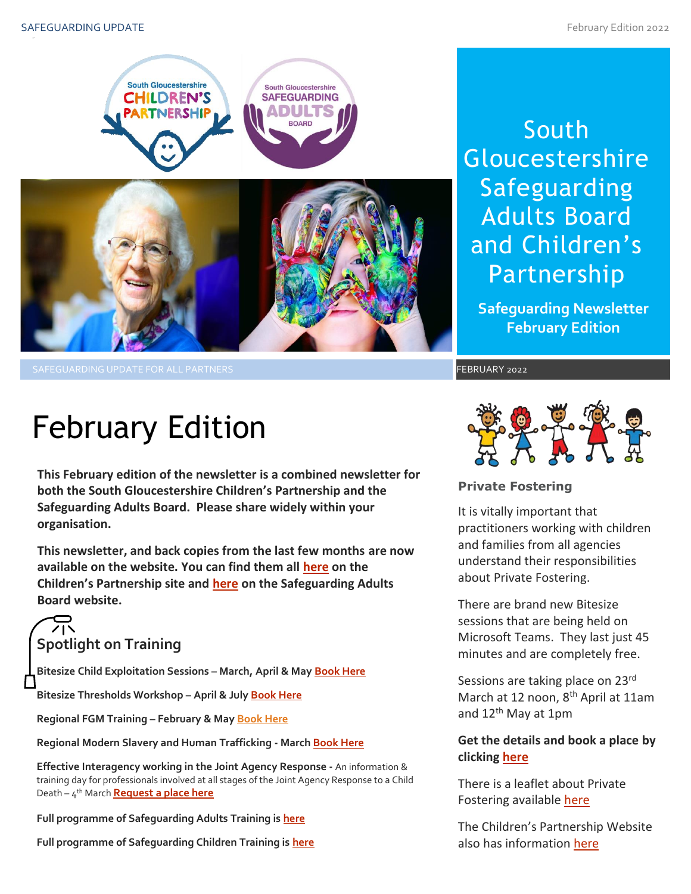

SAFEGUARDING UPDATE FOR ALL PARTNERS FEBRUARY 2022

# South **Gloucestershire** Safeguarding Adults Board and Children's Partnership

**Safeguarding Newsletter February Edition**

# February Edition

**This February edition of the newsletter is a combined newsletter for both the South Gloucestershire Children's Partnership and the Safeguarding Adults Board. Please share widely within your organisation.**

**This newsletter, and back copies from the last few months are now available on the website. You can find them all [here](https://sites.southglos.gov.uk/safeguarding/children/safeguarding-children-board/scb-minutes-of-meetings/) on the Children's Partnership site and [here](https://sites.southglos.gov.uk/safeguarding/adults/safeguarding-adults-board/newsletters-2/) on the Safeguarding Adults Board website.**

# **Spotlight on Training**

**Bitesize Child Exploitation Sessions – March, April & Ma[y Book Here](https://www.eventbrite.com/cc/bitesize-exploitation-111199?utm-campaign=social&utm-content=attendeeshare&utm-medium=discovery&utm-term=odclsxcollection&utm-source=cp&aff=odclsxcollection)**

**Bitesize Thresholds Workshop – April & July [Book Here](https://learning.southglos.gov.uk/courses/bookings/default.asp?ds=1&keyword=thresholds)**

**Regional FGM Training – February & Ma[y Book Here](https://safeguardingsomerset.event-booking.org.uk/events-list?c=359)**

**Regional Modern Slavery and Human Trafficking - Marc[h Book Here](https://safeguardingsomerset.event-booking.org.uk/event-detail/=QTN4QTM/Modern-Slavery--Human-Trafficking)**

**Effective Interagency working in the Joint Agency Response -** An information & training day for professionals involved at all stages of the Joint Agency Response to a Child Death – 4 th March **[Request a place here](mailto:ubh-tr.cdop@nhs.net?subject=Joint%20Agency%20Response%20Training%204th%20March%20-%20Request%20a%20place)**

**Full programme of Safeguarding Adults Training is [here](https://sway.office.com/t1V6fJqHugGmU9OO?ref=Link)**

**Full programme of Safeguarding Children Training is [here](https://sway.office.com/XecEFBowUyeP1T8W?ref=Link)**



#### **Private Fostering**

It is vitally important that practitioners working with children and families from all agencies understand their responsibilities about Private Fostering.

There are brand new Bitesize sessions that are being held on Microsoft Teams. They last just 45 minutes and are completely free.

Sessions are taking place on 23<sup>rd</sup><br>March at 12 noon, 8<sup>th</sup> April at 11am Sessions are taking place on 23rd and 12<sup>th</sup> May at 1pm

# **Get the details and book a place by clicking [here](https://www.eventbrite.com/cc/bitesize-private-fostering-144719?just_published=true)**

There is a leaflet about Private Fostering available [here](http://sites.southglos.gov.uk/safeguarding/wp-content/uploads/sites/221/2015/05/New-Private-Fostering-leaflet-13116.pdf)

The Children's Partnership Website also has information [here](http://sites.southglos.gov.uk/safeguarding/children/i-am-a-parentcarer/private-fostering/)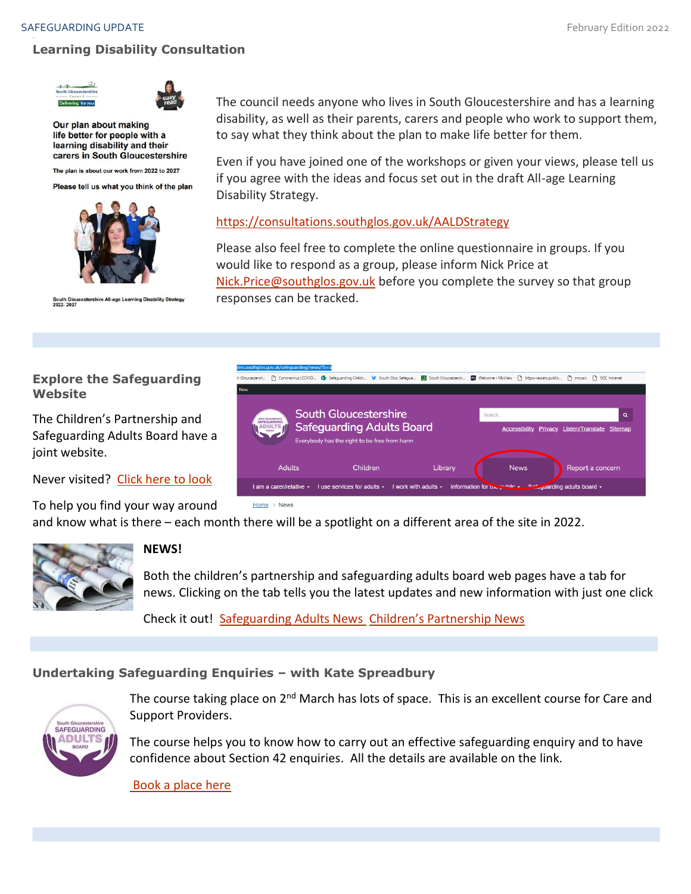# **Learning Disability Consultation**





Our plan about making life better for people with a learning disability and their carers in South Gloucestershire

The plan is about our work from 2022 to 2027

Please tell us what you think of the plan



South Gloucestershire All-age Learning Disability Strategy<br>2022- 2027

The council needs anyone who lives in South Gloucestershire and has a learning disability, as well as their parents, carers and people who work to support them, to say what they think about the plan to make life better for them.

Even if you have joined one of the workshops or given your views, please tell us if you agree with the ideas and focus set out in the draft All-age Learning Disability Strategy.

## <https://consultations.southglos.gov.uk/AALDStrategy>

Please also feel free to complete the online questionnaire in groups. If you would like to respond as a group, please inform Nick Price at [Nick.Price@southglos.gov.uk](mailto:Nick.Price@southglos.gov.uk) before you complete the survey so that group responses can be tracked.

# **Explore the Safeguarding Website**

The Children's Partnership and Safeguarding Adults Board have a joint website.

Never visited? [Click here to look](http://sites.southglos.gov.uk/safeguarding/wp-content/uploads/sites/221/2016/04/QA-Audit-Pre-school-and-under-1s-Dec-2021.pdf)

To help you find your way around and know what is there – each month there will be a spotlight on a different area of the site in 2022.



# **NEWS!**

Both the children's partnership and safeguarding adults board web pages have a tab for news. Clicking on the tab tells you the latest updates and new information with just one click

Check it out! [Safeguarding Adults News](http://sites.southglos.gov.uk/safeguarding/news/?b=a) Children's [Partnership](http://sites.southglos.gov.uk/safeguarding/news/?b=c) News

# **Undertaking Safeguarding Enquiries – with Kate Spreadbury**



The course taking place on 2<sup>nd</sup> March has lots of space. This is an excellent course for Care and Support Providers.

The course helps you to know how to carry out an effective safeguarding enquiry and to have confidence about Section 42 enquiries. All the details are available on the link.

[Book a place here](https://learning.southglos.gov.uk/courses/bookings/c_detail.asp?cid=18808&iscancelled=0&curpage=&keyword=safguarding%20enquiries&ds=1&unconfirmed=&cs=&subid=&keystage=0&sdate=&searchcode=&asearch=&tutid=&estid=&sday=&smonth=&syear=&targetid=&cal=&calday=&calmonth=&calyear=&caldate=&submonth=&subyear=&list=&palist=&frompage=&a=&b=&c=&d=&s_leaid=)